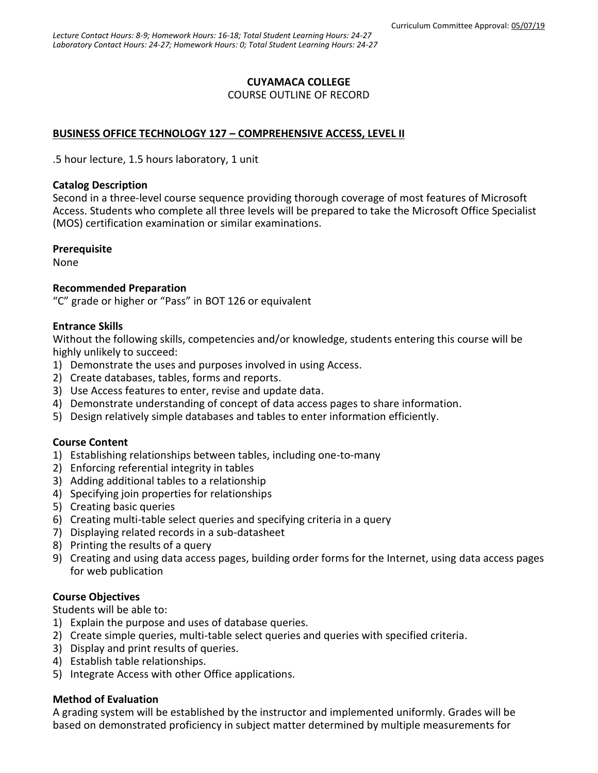# **CUYAMACA COLLEGE**

#### COURSE OUTLINE OF RECORD

### **BUSINESS OFFICE TECHNOLOGY 127 – COMPREHENSIVE ACCESS, LEVEL II**

.5 hour lecture, 1.5 hours laboratory, 1 unit

#### **Catalog Description**

Second in a three-level course sequence providing thorough coverage of most features of Microsoft Access. Students who complete all three levels will be prepared to take the Microsoft Office Specialist (MOS) certification examination or similar examinations.

#### **Prerequisite**

None

### **Recommended Preparation**

"C" grade or higher or "Pass" in BOT 126 or equivalent

### **Entrance Skills**

Without the following skills, competencies and/or knowledge, students entering this course will be highly unlikely to succeed:

- 1) Demonstrate the uses and purposes involved in using Access.
- 2) Create databases, tables, forms and reports.
- 3) Use Access features to enter, revise and update data.
- 4) Demonstrate understanding of concept of data access pages to share information.
- 5) Design relatively simple databases and tables to enter information efficiently.

### **Course Content**

- 1) Establishing relationships between tables, including one-to-many
- 2) Enforcing referential integrity in tables
- 3) Adding additional tables to a relationship
- 4) Specifying join properties for relationships
- 5) Creating basic queries
- 6) Creating multi-table select queries and specifying criteria in a query
- 7) Displaying related records in a sub-datasheet
- 8) Printing the results of a query
- 9) Creating and using data access pages, building order forms for the Internet, using data access pages for web publication

### **Course Objectives**

Students will be able to:

- 1) Explain the purpose and uses of database queries.
- 2) Create simple queries, multi-table select queries and queries with specified criteria.
- 3) Display and print results of queries.
- 4) Establish table relationships.
- 5) Integrate Access with other Office applications.

### **Method of Evaluation**

A grading system will be established by the instructor and implemented uniformly. Grades will be based on demonstrated proficiency in subject matter determined by multiple measurements for